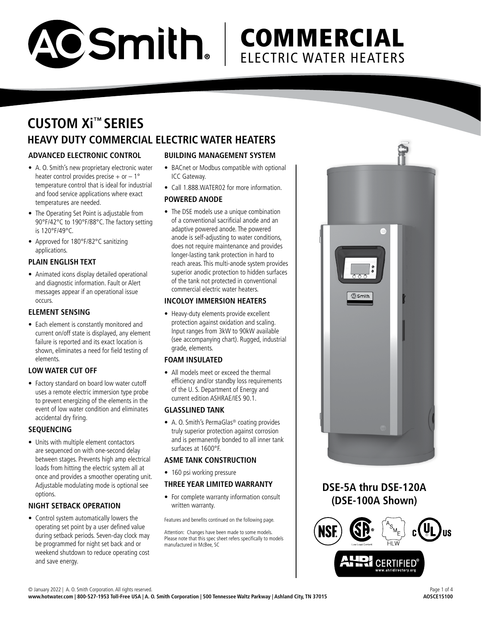

# **COMMERCIAL** ELECTRIC WATER HEATERS

# **CUSTOM Xi ™ SERIES HEAVY DUTY COMMERCIAL ELECTRIC WATER HEATERS**

# **ADVANCED ELECTRONIC CONTROL**

- A. O. Smith's new proprietary electronic water heater control provides precise  $+$  or  $-1^{\circ}$ temperature control that is ideal for industrial and food service applications where exact temperatures are needed.
- The Operating Set Point is adjustable from 90°F/42°C to 190°F/88°C. The factory setting is 120°F/49°C.
- Approved for 180°F/82°C sanitizing applications.

# **PLAIN ENGLISH TEXT**

• Animated icons display detailed operational and diagnostic information. Fault or Alert messages appear if an operational issue occurs.

# **ELEMENT SENSING**

• Each element is constantly monitored and current on/off state is displayed, any element failure is reported and its exact location is shown, eliminates a need for field testing of elements.

# **LOW WATER CUT OFF**

• Factory standard on board low water cutoff uses a remote electric immersion type probe to prevent energizing of the elements in the event of low water condition and eliminates accidental dry firing.

# **SEQUENCING**

• Units with multiple element contactors are sequenced on with one-second delay between stages. Prevents high amp electrical loads from hitting the electric system all at once and provides a smoother operating unit. Adjustable modulating mode is optional see options.

# **NIGHT SETBACK OPERATION**

• Control system automatically lowers the operating set point by a user defined value during setback periods. Seven-day clock may be programmed for night set back and or weekend shutdown to reduce operating cost and save energy.

# **BUILDING MANAGEMENT SYSTEM**

- BACnet or Modbus compatible with optional ICC Gateway.
- Call 1.888.WATER02 for more information.

# **POWERED ANODE**

• The DSE models use a unique combination of a conventional sacrificial anode and an adaptive powered anode. The powered anode is self-adjusting to water conditions, does not require maintenance and provides longer-lasting tank protection in hard to reach areas. This multi-anode system provides superior anodic protection to hidden surfaces of the tank not protected in conventional commercial electric water heaters.

## **INCOLOY IMMERSION HEATERS**

• Heavy-duty elements provide excellent protection against oxidation and scaling. Input ranges from 3kW to 90kW available (see accompanying chart). Rugged, industrial grade, elements.

## **FOAM INSULATED**

• All models meet or exceed the thermal efficiency and/or standby loss requirements of the U. S. Department of Energy and current edition ASHRAE/IES 90.1.

## **GLASSLINED TANK**

• A. O. Smith's PermaGlas® coating provides truly superior protection against corrosion and is permanently bonded to all inner tank surfaces at 1600°F.

# **ASME TANK CONSTRUCTION**

• 160 psi working pressure

## **THREE YEAR LIMITED WARRANTY**

• For complete warranty information consult written warranty.

Features and benefits continued on the following page.

Attention: Changes have been made to some models. Please note that this spec sheet refers specifically to models manufactured in McBee, SC



**DSE-5A thru DSE-120A (DSE-100A Shown)**

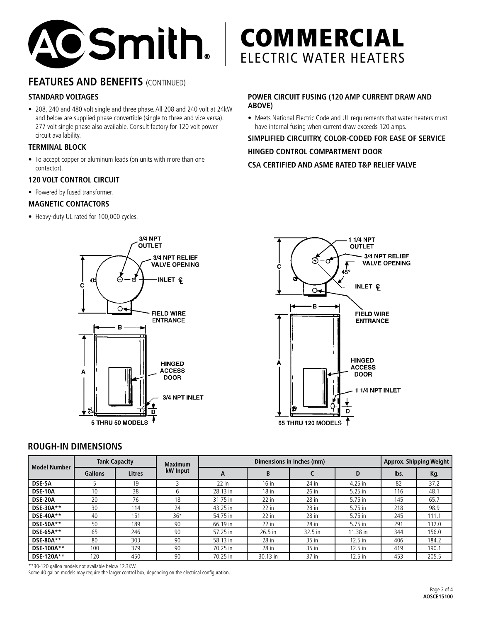

# **FEATURES AND BENEFITS (CONTINUED)**

# **STANDARD VOLTAGES**

• 208, 240 and 480 volt single and three phase. All 208 and 240 volt at 24kW and below are supplied phase convertible (single to three and vice versa). 277 volt single phase also available. Consult factory for 120 volt power circuit availability.

## **TERMINAL BLOCK**

• To accept copper or aluminum leads (on units with more than one contactor).

#### **120 VOLT CONTROL CIRCUIT**

• Powered by fused transformer.

#### **MAGNETIC CONTACTORS**

• Heavy-duty UL rated for 100,000 cycles.

# 3/4 NPT **OUTLET** 3/4 NPT RELIEF **VALVE OPENING INLET C** C  $\circ$ **FIELD WIRE ENTRANCE** B **HINGED ACCESS** A **DOOR** 3/4 NPT INLET ח 5 THRU 50 MODELS

# **COMMERCIAL** ELECTRIC WATER HEATERS

# **POWER CIRCUIT FUSING (120 AMP CURRENT DRAW AND ABOVE)**

• Meets National Electric Code and UL requirements that water heaters must have internal fusing when current draw exceeds 120 amps.

# **SIMPLIFIED CIRCUITRY, COLOR-CODED FOR EASE OF SERVICE HINGED CONTROL COMPARTMENT DOOR CSA CERTIFIED AND ASME RATED T&P RELIEF VALVE**



# **ROUGH-IN DIMENSIONS**

| <b>Model Number</b> | <b>Tank Capacity</b> |        | <b>Maximum</b> |          | <b>Approx. Shipping Weight</b> |         |           |      |       |
|---------------------|----------------------|--------|----------------|----------|--------------------------------|---------|-----------|------|-------|
|                     | <b>Gallons</b>       | Litres | kW Input       | A        | B                              |         | D         | lbs. | Kg.   |
| DSE-5A              |                      | 19     |                | $22$ in  | $16$ in                        | 24 in   | 4.25 in   | 82   | 37.2  |
| <b>DSE-10A</b>      | 10                   | 38     | b              | 28.13 in | $18$ in                        | $26$ in | 5.25 in   | 116  | 48.1  |
| <b>DSE-20A</b>      | 20                   | 76     | 18             | 31.75 in | $22$ in                        | 28 in   | 5.75 in   | 145  | 65.7  |
| DSE-30A**           | 30                   | 114    | 24             | 43.25 in | $22$ in                        | $28$ in | 5.75 in   | 218  | 98.9  |
| DSE-40A**           | 40                   | 151    | $36*$          | 54.75 in | $22$ in                        | $28$ in | 5.75 in   | 245  | 111.1 |
| <b>DSE-50A**</b>    | 50                   | 189    | 90             | 66.19 in | $22$ in                        | 28 in   | 5.75 in   | 291  | 132.0 |
| DSE-65A**           | 65                   | 246    | 90             | 57.25 in | 26.5 in                        | 32.5 in | 11.38 in  | 344  | 156.0 |
| DSE-80A**           | 80                   | 303    | 90             | 58.13 in | $28$ in                        | 35 in   | $12.5$ in | 406  | 184.2 |
| DSE-100A**          | 100                  | 379    | 90             | 70.25 in | 28 in                          | 35 in   | 12.5 in   | 419  | 190.1 |
| DSE-120A**          | 120                  | 450    | 90             | 70.25 in | 30.13 in                       | 37 in   | 12.5 in   | 453  | 205.5 |

\*\*30-120 gallon models not available below 12.3KW.

Some 40 gallon models may require the larger control box, depending on the electrical configuration.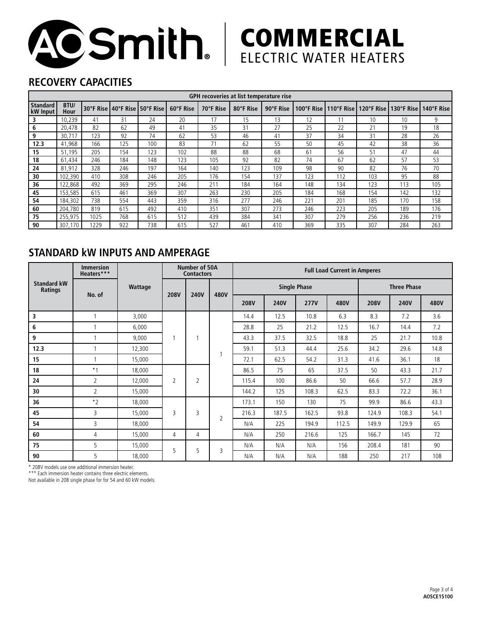

# **COMMERCIAL** ELECTRIC WATER HEATERS

# **RECOVERY CAPACITIES**

| GPH recoveries at list temperature rise |              |      |     |                                   |           |           |           |           |     |     |     |     |                                                                |
|-----------------------------------------|--------------|------|-----|-----------------------------------|-----------|-----------|-----------|-----------|-----|-----|-----|-----|----------------------------------------------------------------|
| <b>Standard</b><br><b>kW</b> Input      | BTU/<br>Hour |      |     | 30°F Rise   40°F Rise   50°F Rise | 60°F Rise | 70°F Rise | 80°F Rise | 90°F Rise |     |     |     |     | 100°F Rise   110°F Rise   120°F Rise   130°F Rise   140°F Rise |
| 3                                       | 10,239       | 41   | 31  | 24                                | 20        | 17        | 15        | 13        | 12  |     | 10  | 10  | 9                                                              |
| 6                                       | 20,478       | 82   | 62  | 49                                | 41        | 35        | 31        | 27        | 25  | 22  | 21  | 19  | 18                                                             |
| 9                                       | 30,717       | 123  | 92  | 74                                | 62        | 53        | 46        | 41        | 37  | 34  | 31  | 28  | 26                                                             |
| 12.3                                    | 41.968       | 166  | 125 | 100                               | 83        | 71        | 62        | 55        | 50  | 45  | 42  | 38  | 36                                                             |
| 15                                      | 51,195       | 205  | 154 | 123                               | 102       | 88        | 88        | 68        | 61  | 56  | 51  | 47  | 44                                                             |
| 18                                      | 61,434       | 246  | 184 | 148                               | 123       | 105       | 92        | 82        | 74  | 67  | 62  | 57  | 53                                                             |
| 24                                      | 81,912       | 328  | 246 | 197                               | 164       | 140       | 123       | 109       | 98  | 90  | 82  | 76  | 70                                                             |
| 30                                      | 102,390      | 410  | 308 | 246                               | 205       | 176       | 154       | 137       | 123 | 112 | 103 | 95  | 88                                                             |
| 36                                      | 122,868      | 492  | 369 | 295                               | 246       | 211       | 184       | 164       | 148 | 134 | 123 | 113 | 105                                                            |
| 45                                      | 153.585      | 615  | 461 | 369                               | 307       | 263       | 230       | 205       | 184 | 168 | 154 | 142 | 132                                                            |
| 54                                      | 184,302      | 738  | 554 | 443                               | 359       | 316       | 277       | 246       | 221 | 201 | 185 | 170 | 158                                                            |
| 60                                      | 204.780      | 819  | 615 | 492                               | 410       | 351       | 307       | 273       | 246 | 223 | 205 | 189 | 176                                                            |
| 75                                      | 255.975      | 1025 | 768 | 615                               | 512       | 439       | 384       | 341       | 307 | 279 | 256 | 236 | 219                                                            |
| 90                                      | 307,170      | 229  | 922 | 738                               | 615       | 527       | 461       | 410       | 369 | 335 | 307 | 284 | 263                                                            |

# **STANDARD kW INPUTS AND AMPERAGE**

| <b>Standard kW</b><br>Ratings | <b>Immersion</b><br>Heaters*** |         | Number of 50A<br><b>Contactors</b> |                |      | <b>Full Load Current in Amperes</b> |             |             |       |                    |       |      |
|-------------------------------|--------------------------------|---------|------------------------------------|----------------|------|-------------------------------------|-------------|-------------|-------|--------------------|-------|------|
|                               | No. of                         | Wattage | <b>208V</b>                        | <b>240V</b>    | 480V | <b>Single Phase</b>                 |             |             |       | <b>Three Phase</b> |       |      |
|                               |                                |         |                                    |                |      | <b>208V</b>                         | <b>240V</b> | <b>277V</b> | 480V  | <b>208V</b>        | 240V  | 480V |
| 3                             |                                | 3,000   | ٠                                  |                | 1    | 14.4                                | 12.5        | 10.8        | 6.3   | 8.3                | 7.2   | 3.6  |
| 6                             |                                | 6,000   |                                    |                |      | 28.8                                | 25          | 21.2        | 12.5  | 16.7               | 14.4  | 7.2  |
| 9                             |                                | 9,000   |                                    |                |      | 43.3                                | 37.5        | 32.5        | 18.8  | 25                 | 21.7  | 10.8 |
| 12.3                          |                                | 12,300  |                                    |                |      | 59.1                                | 51.3        | 44.4        | 25.6  | 34.2               | 29.6  | 14.8 |
| 15                            |                                | 15,000  |                                    |                |      | 72.1                                | 62.5        | 54.2        | 31.3  | 41.6               | 36.1  | 18   |
| 18                            | $*_{1}$                        | 18,000  | $\overline{2}$                     | $\overline{2}$ |      | 86.5                                | 75          | 65          | 37.5  | 50                 | 43.3  | 21.7 |
| 24                            | $\overline{2}$                 | 12,000  |                                    |                |      | 115.4                               | 100         | 86.6        | 50    | 66.6               | 57.7  | 28.9 |
| 30                            | 2                              | 15.000  |                                    |                |      | 144.2                               | 125         | 108.3       | 62.5  | 83.3               | 72.2  | 36.1 |
| 36                            | $*_{2}$                        | 18,000  | 3                                  | 3              | 2    | 173.1                               | 150         | 130         | 75    | 99.9               | 86.6  | 43.3 |
| 45                            | 3                              | 15.000  |                                    |                |      | 216.3                               | 187.5       | 162.5       | 93.8  | 124.9              | 108.3 | 54.1 |
| 54                            | 3                              | 18.000  |                                    |                |      | N/A                                 | 225         | 194.9       | 112.5 | 149.9              | 129.9 | 65   |
| 60                            | 4                              | 15,000  | 4                                  | 4              |      | N/A                                 | 250         | 216.6       | 125   | 166.7              | 145   | 72   |
| 75                            | 5                              | 15,000  |                                    | 5              | 3    | N/A                                 | N/A         | N/A         | 156   | 208.4              | 181   | 90   |
| 90                            | 5                              | 18,000  | 5                                  |                |      | N/A                                 | N/A         | N/A         | 188   | 250                | 217   | 108  |

\* 208V models use one additional immersion heater.

\*\*\* Each immersion heater contains three electric elements.

Not available in 208 single phase for for 54 and 60 kW models.